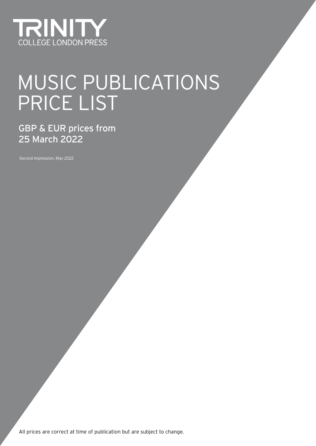

# MUSIC PUBLICATIONS PRICE LIST

GBP & EUR prices from 25 March 2022

Second impression, May 2022

All prices are correct at time of publication but are subject to change.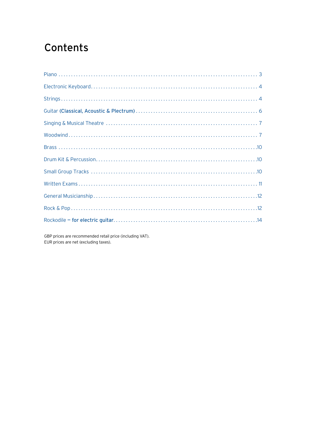# <span id="page-1-0"></span>**Contents**

GBP prices are recommended retail price (including VAT). EUR prices are net (excluding taxes).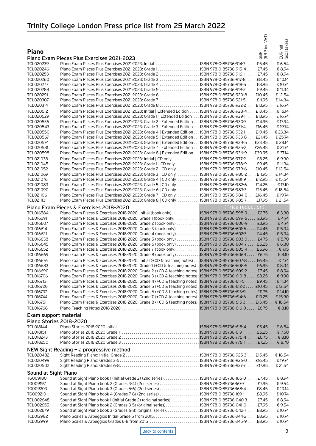## <span id="page-2-0"></span>Trinity College London Press price list from 25 March 2022

|                               |                                                                                                                                                                                                                                 |                   | inc VAT)          |                         |
|-------------------------------|---------------------------------------------------------------------------------------------------------------------------------------------------------------------------------------------------------------------------------|-------------------|-------------------|-------------------------|
|                               |                                                                                                                                                                                                                                 |                   |                   | EUR net<br>(excl taxes) |
| <b>Piano</b>                  |                                                                                                                                                                                                                                 |                   | $\mathbf{\Omega}$ |                         |
|                               |                                                                                                                                                                                                                                 |                   | GBP<br>(RRP       |                         |
| TCL020239                     | Piano Exam Pieces Plus Exercises 2021-2023<br>Piano Exam Pieces Plus Exercises 2021-2023: Initial  ISBN 978-0-85736-914-7£5.45  € 6.54                                                                                          |                   |                   |                         |
| TCL020246                     |                                                                                                                                                                                                                                 |                   |                   |                         |
| TCL020253                     | Piano Exam Pieces Plus Exercises 2021-2023: Grade 2  ISBN 978-0-85736-916-1  £7.45  € 8.94                                                                                                                                      |                   |                   |                         |
| TCL020260                     | Piano Exam Pieces Plus Exercises 2021-2023: Grade 3  ISBN 978-0-85736-917-8£8.45 € 10.14                                                                                                                                        |                   |                   |                         |
| <b>TCL020277</b>              | Piano Exam Pieces Plus Exercises 2021-2023: Grade 4  ISBN 978-0-85736-918-5 £8.95  € 10.74                                                                                                                                      |                   |                   |                         |
| TCL020284                     | Piano Exam Pieces Plus Exercises 2021-2023: Grade 5  ISBN 978-0-85736-919-2  £9.45  € 11.34                                                                                                                                     |                   |                   |                         |
| TCL020291                     | Piano Exam Pieces Plus Exercises 2021-2023: Grade 7  ISBN 978-0-85736-921-5£11.95  € 14.34                                                                                                                                      |                   |                   |                         |
| <b>TCL020307</b><br>TCL020314 |                                                                                                                                                                                                                                 |                   |                   |                         |
| TCL020512                     | Piano Exam Pieces Plus Exercises 2021-2023: Initial   Extended Edition ISBN 978-0-85736-928-4. £13.45 6 16.14                                                                                                                   |                   |                   |                         |
| TCL020529                     | Piano Exam Pieces Plus Exercises 2021-2023: Grade 1   Extended Edition  ISBN 978-0-85736-929-1 £13.95  € 16.74                                                                                                                  |                   |                   |                         |
| TCL020536                     | Piano Exam Pieces Plus Exercises 2021-2023: Grade 2   Extended Edition ISBN 978-0-85736-930-7 £14.95 € 17.94                                                                                                                    |                   |                   |                         |
| TCL020543                     | Piano Exam Pieces Plus Exercises 2021-2023: Grade 3   Extended Edition ISBN 978-0-85736-931-4 £16.45 € 19.74                                                                                                                    |                   |                   |                         |
| <b>TCL020550</b>              | Piano Exam Pieces Plus Exercises 2021-2023: Grade 4   Extended Edition ISBN 978-0-85736-932-1 £19.45 € 23.34                                                                                                                    |                   |                   |                         |
| <b>TCL020567</b>              | Piano Exam Pieces Plus Exercises 2021-2023: Grade 5   Extended Edition ISBN 978-0-85736-933-8 £21.45 € 25.74                                                                                                                    |                   |                   |                         |
| <b>TCL020574</b>              | Piano Exam Pieces Plus Exercises 2021-2023: Grade 6   Extended Edition ISBN 978-0-85736-934-5 £23.45 € 28.14                                                                                                                    |                   |                   |                         |
| <b>TCL020581</b><br>TCL020598 | Piano Exam Pieces Plus Exercises 2021-2023: Grade 7   Extended Edition ISBN 978-0-85736-935-2 £26.45 € 31.74<br>Piano Exam Pieces Plus Exercises 2021-2023: Grade 8   Extended Edition ISBN 978-0-85736-936-9£30.95€ 37.14      |                   |                   |                         |
| <b>TCL021038</b>              | Piano Exam Pieces Plus Exercises 2021-2023: Initial   CD only ISBN 978-0-85736-977-2  £8.25  € 9.90                                                                                                                             |                   |                   |                         |
| TCL021045                     | Piano Exam Pieces Plus Exercises 2021-2023: Grade 1 CD only ISBN 978-0-85736-978-9 €9.45 € 11.34                                                                                                                                |                   |                   |                         |
| <b>TCL021052</b>              | Piano Exam Pieces Plus Exercises 2021-2023: Grade 2   CD only  ISBN 978-0-85736-979-6 £10.45  € 12.54                                                                                                                           |                   |                   |                         |
| TCL021069                     | Piano Exam Pieces Plus Exercises 2021-2023: Grade 3   CD only  ISBN 978-0-85736-980-2£11.95  € 14.34                                                                                                                            |                   |                   |                         |
| TCL021076                     | Piano Exam Pieces Plus Exercises 2021-2023: Grade 4   CD only  ISBN 978-0-85736-981-9  £12.95  € 15.54                                                                                                                          |                   |                   |                         |
| TCL021083                     | Piano Exam Pieces Plus Exercises 2021-2023: Grade 5   CD only  ISBN 978-0-85736-982-6 £14.25  € 17.10                                                                                                                           |                   |                   |                         |
| <b>TCL021090</b>              | Piano Exam Pieces Plus Exercises 2021-2023: Grade 6   CD only  ISBN 978-0-85736-983-3  £15.45  € 18.54                                                                                                                          |                   |                   |                         |
| TCL021106<br>TCL021113        | Piano Exam Pieces Plus Exercises 2021-2023: Grade 7   CD only  ISBN 978-0-85736-984-0 £16.45 € 19.74<br>Piano Exam Pieces Plus Exercises 2021-2023: Grade 8   CD only  ISBN 978-0-85736-985-7  £17.95  € 21.54                  |                   |                   |                         |
|                               |                                                                                                                                                                                                                                 |                   |                   |                         |
|                               | Piano Exam Pieces & Exercises 2018-2020                                                                                                                                                                                         | (Price reduction) |                   |                         |
| TCL016584<br>TCL016591        | Piano Exam Pieces & Exercises 2018-2020: Initial (book only) ISBN 978-0-85736-598-9  £2.75  € 3.30<br>Piano Exam Pieces & Exercises 2018-2020: Grade 1 (book only) ISBN 978-0-85736-599-6 £3.95 € 4.74                          |                   |                   |                         |
| TCL016607                     | Piano Exam Pieces & Exercises 2018-2020: Grade 2 (book only) ISBN 978-0-85736-600-9 €3.95 € 4.74                                                                                                                                |                   |                   |                         |
| TCL016614                     | Piano Exam Pieces & Exercises 2018-2020: Grade 3 (book only) ISBN 978-0-85736-601-6 £4.45 € 5.34                                                                                                                                |                   |                   |                         |
| TCL016621                     | Piano Exam Pieces & Exercises 2018-2020: Grade 4 (book only) ISBN 978-0-85736-602-3 £4.45 € 5.34                                                                                                                                |                   |                   |                         |
| TCL016638                     | Piano Exam Pieces & Exercises 2018-2020: Grade 5 (book only) ISBN 978-0-85736-603-0 £4.75 € 5.70                                                                                                                                |                   |                   |                         |
| TCL016645                     | Piano Exam Pieces & Exercises 2018-2020: Grade 6 (book only)  ISBN 978-0-85736-604-7  . £5.25  € 6.30                                                                                                                           |                   |                   |                         |
| TCL016652                     | Piano Exam Pieces & Exercises 2018-2020: Grade 7 (book only) ISBN 978-0-85736-605-4 £5.96 € 7.15                                                                                                                                |                   |                   |                         |
| TCL016669                     | Piano Exam Pieces & Exercises 2018-2020: Grade 8 (book only) 85736-606-1 € 6.75 € 8.10                                                                                                                                          |                   |                   |                         |
| TCL016676<br>TCL016683        | Piano Exam Pieces & Exercises 2018-2020: Initial (+CD & teaching notes) ISBN 978-0-85736-607-8 £6.45 €7.74<br>Piano Exam Pieces & Exercises 2018-2020: Grade 1 (+CD & teaching notes). ISBN 978-0-85736-608-5 £6.95€ 8.34       |                   |                   |                         |
| TCL016690                     | Piano Exam Pieces & Exercises 2018-2020: Grade 2 (+CD & teaching notes), ISBN 978-0-85736-609-2 £7.45 € 8.94                                                                                                                    |                   |                   |                         |
| TCL016706                     | Piano Exam Pieces & Exercises 2018-2020: Grade 3 (+CD & teaching notes). ISBN 978-0-85736-610-8 £8.25 € 9.90                                                                                                                    |                   |                   |                         |
| TCL016713                     | Piano Exam Pieces & Exercises 2018-2020: Grade 4 (+CD & teaching notes). ISBN 978-0-85736-611-5  . £9.45  € 11.34                                                                                                               |                   |                   |                         |
| <b>TCL016720</b>              | Piano Exam Pieces & Exercises 2018-2020: Grade 5 (+CD & teaching notes). ISBN 978-0-85736-612-2  £10.45  € 12.54                                                                                                                |                   |                   |                         |
| <b>TCL016737</b>              | Piano Exam Pieces & Exercises 2018-2020: Grade 6 (+CD & teaching notes). ISBN 978-0-85736-613-9  £11.75  € 14.10                                                                                                                |                   |                   |                         |
| TCL016744                     | Piano Exam Pieces & Exercises 2018-2020: Grade 7 (+CD & teaching notes). ISBN 978-0-85736-614-6 £13.25 €15.90<br>Piano Exam Pieces & Exercises 2018-2020: Grade 8 (+CD & teaching notes). ISBN 978-0-85736-615-3 £15.45 € 18.54 |                   |                   |                         |
| TCL016751<br><b>TCL016768</b> |                                                                                                                                                                                                                                 |                   |                   |                         |
|                               |                                                                                                                                                                                                                                 |                   |                   |                         |
| Exam support material         |                                                                                                                                                                                                                                 |                   |                   |                         |
| Piano Stories 2018-2020       |                                                                                                                                                                                                                                 |                   |                   |                         |
| TCL018144<br>TCL018151        |                                                                                                                                                                                                                                 |                   |                   |                         |
| TCL018243                     |                                                                                                                                                                                                                                 |                   |                   |                         |
| TCL018250                     |                                                                                                                                                                                                                                 |                   |                   |                         |
|                               | NEW Sight Reading - a progressive method                                                                                                                                                                                        |                   |                   |                         |
| TCL020482                     |                                                                                                                                                                                                                                 |                   |                   |                         |
| TCL020499                     |                                                                                                                                                                                                                                 |                   |                   |                         |
| TCL020502                     |                                                                                                                                                                                                                                 |                   |                   |                         |
| Sound at Sight Piano          |                                                                                                                                                                                                                                 |                   |                   |                         |
| TG009180                      | Sound at Sight Piano book 1 (Initial-Grade 2) (2nd series)ISBN 978-0-85736-166-0  £7.45  € 8.94                                                                                                                                 |                   |                   |                         |
| TG009197                      | Sound at Sight Piano book 2 (Grades 3-4) (2nd series)  ISBN 978-0-85736-167-7  £7.95  € 9.54                                                                                                                                    |                   |                   |                         |
| TG009203                      |                                                                                                                                                                                                                                 |                   |                   |                         |
| TG009210                      |                                                                                                                                                                                                                                 |                   |                   |                         |
| TCL002648                     | Sound at Sight Piano book 1 (Initial-Grade 2) (original series)  ISBN 978-0-85736-040-3 £7.45  £8.94                                                                                                                            |                   |                   |                         |
| TCL002655<br>TCL002679        | Sound at Sight Piano book 2 (Grades 3-5) (original series) ISBN 978-0-85736-041-0  £7.95  € 9.54<br>Sound at Sight Piano book 3 (Grades 6-8) (original series). ISBN 978-0-85736-042-7 £8.95 € 10.74                            |                   |                   |                         |
| TCL012982                     |                                                                                                                                                                                                                                 |                   |                   |                         |
| TCL012999                     | Piano Scales & Arpeggios Grades 6-8 from 2015  ISBN 978-0-85736-345-9£8.95  € 10.74                                                                                                                                             |                   |                   |                         |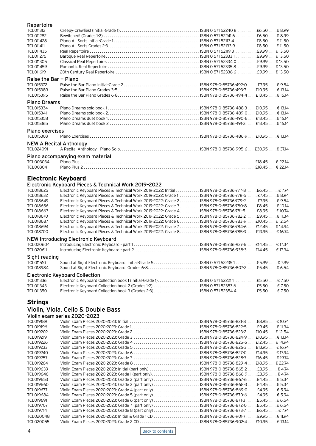### <span id="page-3-0"></span>Repertoire TCL011312 Creepy-Crawlies! (Initial-Grade 1) . . ISBN 0 571 52240 8 . £6.50 . € 8.99 TCL011282 Bewitched! (Grades 1-2) . . ISBN 0 571 52241 6 . £6.50 . € 8.99 TCL011428 Piano All Sorts Initial-Grade 1 . . ISBN 0 571 52113 4 . £8.50 . € 11.50 TCL011411 Piano All Sorts Grades 2-3 . . ISBN 0 571 52133 9 . £8.50 . € 11.50 TCL011435 Real Repertoire . . ISBN 0 571 52119 3 . £9.99 . . € 13.50 TCL011275 Baroque Real Repertoire . . ISBN 0 571 52333 1 . £9.99 . . € 13.50 TCL011305 Classical Real Repertoire . . ISBN 0 571 52334 X . £9.99 . . € 13.50 TCL011459 Romantic Real Repertoire . . ISBN 0 571 52335 8 . £9.99 . . € 13.50 TCL011619 20th Century Real Repertoire . . ISBN 0 571 52336 6 . £9.99 . . € 13.50 **Raise the Bar - Piano**<br>TCL015372 Raise the I TCL015372 Raise the Bar Piano Initial-Grade 2 . . ISBN 978-0-85736-492-0 . . £7.95 . € 9.54 TCL015389 Raise the Bar Piano Grades 3-5 . . ISBN 978-0-85736-493-7 . . £10.95 . € 13.14 TCL015395 Raise the Bar Piano Grades 6-8 . . ISBN 978-0-85736-494-4 . . £13.45 . € 16.14 Piano Dreams TCL015334 Piano Dreams solo book 1 . . ISBN 978-0-85736-488-3 . . £10.95 . € 13.14 TCL015341 Piano Dreams solo book 2 . . ISBN 978-0-85736-489-0 . . £10.95 . € 13.14 TCL015358 Piano Dreams duet book 1 . . ISBN 978-0-85736-490-6 . . £13.45 . € 16.14 TCL015365 Piano Dreams duet book 2 . . ISBN 978-0-85736-491-3 . . £13.45 . € 16.14 Piano exercises TCL015303 Piano Exercises . . ISBN 978-0-85736-486-9 . . £10.95 . € 13.14 **NEW A Recital Anthology**<br>TCL024091 A Recital Antho TCL024091 A Recital Anthology - Piano Solo . . ISBN 978-0-85736-995-6 . £30.95 . € 37.14 Piano accompanying exam material TCL003034 Piano Plus . . . . . . . . . . . . . . . . . . . . . . . . . . . . £18.45 . . € 22.14 TCL003041 Piano Plus 2 . . . . . . . . . . . . . . . . . . . . . . . . . . . . £18.45 . . € 22.14

### **Electronic Keyboard**

### Electronic Keyboard Pieces & Technical Work 2019–2022

| <b>TCL018625</b> | Electronic Keyboard Pieces & Technical Work 2019-2022: Initial ISBN 978-0-85736-777-8 £6.45 € 7.74    |
|------------------|-------------------------------------------------------------------------------------------------------|
| TCL018632        | Electronic Keyboard Pieces & Technical Work 2019-2022: Grade 1 ISBN 978-0-85736-778-5 £7.45 € 8.94    |
| TCL018649        | Electronic Keyboard Pieces & Technical Work 2019-2022: Grade 2 ISBN 978-0-85736-779-2  £7.95  € 9.54  |
| TCL018656        | Electronic Keyboard Pieces & Technical Work 2019-2022: Grade 3. ISBN 978-0-85736-780-8. £8.45 € 10.14 |
| TCL018663        | Electronic Keyboard Pieces & Technical Work 2019-2022: Grade 4. ISBN 978-0-85736-781-5. £8.95 € 10.74 |
| TCL018670        | Electronic Keyboard Pieces & Technical Work 2019-2022: Grade 5. ISBN 978-0-85736-782-2 £9.45 € 11.34  |
| TCL018687        | Electronic Keyboard Pieces & Technical Work 2019-2022: Grade 6. ISBN 978-0-85736-783-9 £10.45 € 12.54 |
| TCL018694        | Electronic Keyboard Pieces & Technical Work 2019-2022: Grade 7 ISBN 978-0-85736-784-6 £12.45  € 14.94 |
| <b>TCL018700</b> | Electronic Keyboard Pieces & Technical Work 2019-2022: Grade 8. ISBN 978-0-85736-785-3 £13.95 € 16.74 |
|                  | <b>NEW Introducing Electronic Keyboard</b>                                                            |
| TCL020604        |                                                                                                       |
| TCL020611        |                                                                                                       |
| Sight reading    |                                                                                                       |
| TCL011510        |                                                                                                       |
| TCL018984        |                                                                                                       |
|                  | <b>Electronic Keyboard Collection</b>                                                                 |
| TCL011336        | Electronic Keyboard Collection book 1 (Initial-Grade 1) ISBN 0 571 522211 £5.50  € 7.50               |
| TCL011343        | Electronic Keyboard Collection book 2 (Grades 1-2)  ISBN 0 571 52353 6 £5.50  € 7.50                  |
| <b>TCL011350</b> | Electronic Keyboard Collection book 3 (Grades 2-3) ISBN 0 571 52354 4 £5.50  € 7.50                   |

### **Strings**

### Violin, Viola, Cello & Double Bass

| Violin exam series 2020-2023 |  |  |
|------------------------------|--|--|
|------------------------------|--|--|

| TCL019189 |                                                                                          |  | ISBN 978-0-85736-821-8 £8.95  € 10.74 |  |
|-----------|------------------------------------------------------------------------------------------|--|---------------------------------------|--|
| TCL019196 |                                                                                          |  |                                       |  |
| TCL019202 |                                                                                          |  |                                       |  |
| TCL019219 |                                                                                          |  |                                       |  |
| TCL019226 |                                                                                          |  |                                       |  |
| TCL019233 |                                                                                          |  |                                       |  |
| TCL019240 |                                                                                          |  |                                       |  |
| TCL019257 |                                                                                          |  |                                       |  |
| TCL019264 |                                                                                          |  |                                       |  |
| TCL019639 | Violin Exam Pieces 2020-2023: Initial (part only)  ISBN 978-0-85736-865-2£3.95  € 4.74   |  |                                       |  |
| TCL019646 |                                                                                          |  |                                       |  |
| TCL019653 | Violin Exam Pieces 2020-2023: Grade 2 (part only) $\dots\dots\dots\dots\dots\dots\dots$  |  | . ISBN 978-0-85736-867-6£4.45€ 5.34   |  |
| TCL019660 | Violin Exam Pieces 2020-2023: Grade 3 (part only)                                        |  | ISBN 978-0-85736-868-3£4.45€ 5.34     |  |
| TCL019677 |                                                                                          |  | ISBN 978-0-85736-869-0£4.95 € 5.94    |  |
| TCL019684 | Violin Exam Pieces 2020-2023: Grade 5 (part only)                                        |  | ISBN 978-0-85736-870-6£4.95 € 5.94    |  |
| TCL019691 |                                                                                          |  |                                       |  |
| TCL019707 |                                                                                          |  |                                       |  |
| TCL019714 | Violin Exam Pieces 2020-2023: Grade 8 (part only) ISBN 978-0-85736-873-7  £6.45 € 7.74   |  |                                       |  |
| TCL020048 | Violin Exam Pieces 2020-2023: Initial & Grade 1 CD  ISBN 978-0-85736-901-7 £9.95 € 11.94 |  |                                       |  |
| TCL020055 |                                                                                          |  |                                       |  |
|           |                                                                                          |  |                                       |  |

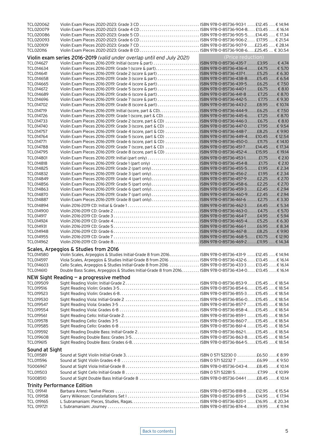| TCL020062         |                                                                                                           |                   |
|-------------------|-----------------------------------------------------------------------------------------------------------|-------------------|
| <b>TCL020079</b>  |                                                                                                           |                   |
| <b>TCL020086</b>  |                                                                                                           |                   |
| TCL020093         |                                                                                                           |                   |
| TCL020109         |                                                                                                           |                   |
| TCL020116         |                                                                                                           |                   |
|                   | Violin exam series 2016-2019 (valid under overlap until end July 2021)                                    | (Price reduction) |
| <b>TCL014627</b>  | Violin Exam Pieces 2016-2019: Initial (score & part)  ISBN 978-0-85736-435-7  £3.95  € 4.74               |                   |
| TCL014634         |                                                                                                           |                   |
| TCL014641         | Violin Exam Pieces 2016-2019: Grade 2 (score & part)  ISBN 978-0-85736-437-1£5.25 € 6.30                  |                   |
|                   |                                                                                                           |                   |
| TCL014658         | Violin Exam Pieces 2016-2019: Grade 3 (score & part)  ISBN 978-0-85736-438-8£5.45 € 6.54                  |                   |
| TCL014665         | Violin Exam Pieces 2016-2019: Grade 4 (score & part)  ISBN 978-0-85736-439-5 £6.25  € 7.50                |                   |
| TCL014672         | Violin Exam Pieces 2016-2019: Grade 5 (score & part)  ISBN 978-0-85736-440-1  £6.75  € 8.10               |                   |
| TCL014689         | Violin Exam Pieces 2016-2019: Grade 6 (score & part)ISBN 978-0-85736-441-8 £7.25 € 8.70                   |                   |
| TCL014696         | Violin Exam Pieces 2016-2019: Grade 7 (score & part)  ISBN 978-0-85736-442-5 £7.75  € 9.30                |                   |
| TCL014702         | Violin Exam Pieces 2016-2019: Grade 8 (score & part)ISBN 978-0-85736-443-2£8.95  € 10.74                  |                   |
| TCL014719         |                                                                                                           |                   |
| TCL014726         | Violin Exam Pieces 2016-2019: Grade 1 (score, part & CD)  ISBN 978-0-85736-445-6 £7.25  € 8.70            |                   |
| TCL014733         | Violin Exam Pieces 2016-2019: Grade 2 (score, part & CD)  ISBN 978-0-85736-446-3 £6.75  € 8.10            |                   |
| TCL014740         | Violin Exam Pieces 2016-2019: Grade 3 (score, part & CD)  ISBN 978-0-85736-447-0 £7.95  € 9.54            |                   |
| TCL014757         | Violin Exam Pieces 2016-2019: Grade 4 (score, part & CD)   ISBN 978-0-85736-448-7£8.25 € 9.90             |                   |
| TCL014764         | Violin Exam Pieces 2016-2019: Grade 5 (score, part & CD) ISBN 978-0-85736-449-4 £10.45  € 12.54           |                   |
| TCL014771         | Violin Exam Pieces 2016-2019: Grade 6 (score, part & CD)  ISBN 978-0-85736-450-0£11.75 € 14.10            |                   |
| TCL014788         | Violin Exam Pieces 2016-2019: Grade 7 (score, part & CD)   ISBN 978-0-85736-451-7 £14.45  € 17.34         |                   |
| TCL014795         | Violin Exam Pieces 2016-2019: Grade 8 (score, part & CD)  ISBN 978-0-85736-452-4 £15.95  € 19.14          |                   |
| TCL014801         | Violin Exam Pieces 2016-2019: Initial (part only)  ISBN 978-0-85736-453-1£1.75  € 2.10                    |                   |
|                   |                                                                                                           |                   |
| TCL014818         | Violin Exam Pieces 2016-2019: Grade 1 (part only)  ISBN 978-0-85736-454-8£1.75  € 2.10                    |                   |
| TCL014825         | Violin Exam Pieces 2016-2019: Grade 2 (part only)  ISBN 978-0-85736-455-5 £1.95  € 2.34                   |                   |
| TCL014832         | Violin Exam Pieces 2016-2019: Grade 3 (part only)  ISBN 978-0-85736-456-2 £1.95  € 2.34                   |                   |
| TCL014849         | Violin Exam Pieces 2016-2019: Grade 4 (part only) ISBN 978-0-85736-457-9  £2.25  € 2.70                   |                   |
| TCL014856         | Violin Exam Pieces 2016-2019: Grade 5 (part only)ISBN 978-0-85736-458-6£2.25  € 2.70                      |                   |
| TCL014863         | Violin Exam Pieces 2016-2019: Grade 6 (part only) ISBN 978-0-85736-459-3£2.45  £ 2.94                     |                   |
| TCL014870         | Violin Exam Pieces 2016-2019: Grade 7 (part only)  ISBN 978-0-85736-460-9£2.45 € 2.94                     |                   |
| <b>TCL014887</b>  | Violin Exam Pieces 2016-2019: Grade 8 (part only)ISBN 978-0-85736-461-6  £2.75  € 3.30                    |                   |
| TCL014894         |                                                                                                           |                   |
| TCL014900         |                                                                                                           |                   |
| TCL014917         |                                                                                                           |                   |
| TCL014924         |                                                                                                           |                   |
| TCL014931         |                                                                                                           |                   |
| TCL014948         |                                                                                                           |                   |
| TCL014955         |                                                                                                           |                   |
|                   |                                                                                                           |                   |
| TCL014962         |                                                                                                           |                   |
|                   | Scales, Arpeggios & Studies from 2016                                                                     |                   |
| TCL014580         | Violin Scales, Arpeggios & Studies Initial-Grade 8 from 2016. ISBN 978-0-85736-431-9 212.45 € 14.94       |                   |
| TCL014597         | Viola Scales, Arpeggios & Studies Initial-Grade 8 from 2016  ISBN 978-0-85736-432-6 £13.45  € 16.14       |                   |
| TCL014603         | Cello Scales, Arpeggios & Studies Initial-Grade 8 from 2016  ISBN 978-0-85736-433-3  £13.45  € 16.14      |                   |
| TCL014610         | Double Bass Scales, Arpeggios & Studies Initial-Grade 8 from 2016. ISBN 978-0-85736-434-0. £13.45 € 16.14 |                   |
|                   | NEW Sight Reading $-$ a progressive method                                                                |                   |
| TCL019509         |                                                                                                           |                   |
| TCL019516         |                                                                                                           |                   |
| TCL019523         |                                                                                                           |                   |
|                   |                                                                                                           |                   |
| TCL019530         |                                                                                                           |                   |
| TCL019547         |                                                                                                           |                   |
| TCL019554         |                                                                                                           |                   |
| TCL019561         |                                                                                                           |                   |
| TCL019578         |                                                                                                           |                   |
| TCL019585         |                                                                                                           |                   |
| TCL019592         |                                                                                                           |                   |
| TCL019608         |                                                                                                           |                   |
| TCL019615         |                                                                                                           |                   |
|                   |                                                                                                           |                   |
| Sound at Sight    |                                                                                                           |                   |
| TCL011589         |                                                                                                           |                   |
| TCL011596         |                                                                                                           |                   |
| TG006967          |                                                                                                           |                   |
| TCL011503         |                                                                                                           |                   |
| TG008510          | Sound at Sight Double Bass Initial-Grade 8  ISBN 978-0-85736-044-1  £8.45  € 10.14                        |                   |
|                   |                                                                                                           |                   |
|                   | <b>Trinity Performance Edition</b>                                                                        |                   |
| <b>TCL 019141</b> |                                                                                                           |                   |
| <b>TCL 019158</b> |                                                                                                           |                   |
| TCL 019165        |                                                                                                           |                   |
| TCL 019721        |                                                                                                           |                   |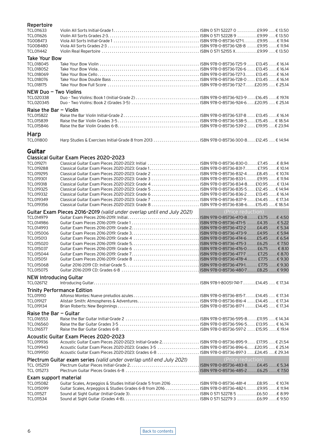### <span id="page-5-0"></span>Repertoire

| TCL011633              |                                        |                                                                                           |
|------------------------|----------------------------------------|-------------------------------------------------------------------------------------------|
| TCL011626              |                                        |                                                                                           |
| TG008473               |                                        |                                                                                           |
| TG008480               |                                        |                                                                                           |
| TCL011442              |                                        |                                                                                           |
| <b>Take Your Bow</b>   |                                        |                                                                                           |
| TCL018045              |                                        |                                                                                           |
| TCL018052              |                                        |                                                                                           |
| TCL018069              |                                        |                                                                                           |
| TCL018076              |                                        |                                                                                           |
| TCL018175              |                                        |                                                                                           |
| NEW Duo - Two Violins  |                                        |                                                                                           |
| TCL020338              |                                        |                                                                                           |
| TCL020345              |                                        |                                                                                           |
| Raise the Bar - Violin |                                        |                                                                                           |
| TCL015822              |                                        |                                                                                           |
| TCL015839              |                                        |                                                                                           |
| TCL015846              |                                        |                                                                                           |
| Harp                   |                                        |                                                                                           |
| TCL011800              |                                        | Harp Studies & Exercises Initial-Grade 8 from 2013  ISBN 978-0-85736-300-8 £12.45  €14.94 |
| Guitar                 |                                        |                                                                                           |
|                        | Classical Guitar Exam Pieces 2020-2023 |                                                                                           |
| TCL019271              |                                        | Classical Guitar Exam Pieces 2020-2023: Initial  ISBN 978-0-85736-830-0£7.45 € 8.94       |
| TCL019288              |                                        |                                                                                           |
| TCL019295              |                                        | Classical Guitar Exam Pieces 2020-2023: Grade 2  ISBN 978-0-85736-832-4 £8.45  € 10.74    |
| TCL019301              |                                        |                                                                                           |
| TCL019318              |                                        | Classical Guitar Exam Pieces 2020-2023: Grade 4 ISBN 978-0-85736-834-8£10.95 €13.14       |
| TCL019325              |                                        | Classical Guitar Exam Pieces 2020-2023: Grade 5  ISBN 978-0-85736-835-5 £12.45  € 14.94   |

TCL019332 Classical Guitar Exam Pieces 2020-2023: Grade 6 . . ISBN 978-0-85736-836-2 . . £13.45 . € 16.14 TCL019349 Classical Guitar Exam Pieces 2020-2023: Grade 7 . . ISBN 978-0-85736-837-9 . £14.45 . . € 17.34

| TCL019356                     |                                                                                                     |                   |
|-------------------------------|-----------------------------------------------------------------------------------------------------|-------------------|
|                               | Guitar Exam Pieces 2016-2019 (valid under overlap until end July 2021)                              | (Price reduction) |
| TCL014979                     |                                                                                                     |                   |
| TCL014986                     |                                                                                                     |                   |
| TCL014993                     |                                                                                                     |                   |
| TCL015006                     |                                                                                                     |                   |
| TCL015013                     |                                                                                                     |                   |
| TCL015020                     |                                                                                                     |                   |
| TCL015037                     |                                                                                                     |                   |
| TCL015044                     |                                                                                                     |                   |
| TCL015051                     |                                                                                                     |                   |
| <b>TCL015068</b>              |                                                                                                     |                   |
| <b>TCL015075</b>              |                                                                                                     |                   |
| <b>NEW Introducing Guitar</b> |                                                                                                     |                   |
| TCL026712                     |                                                                                                     |                   |
|                               | <b>Trinity Performance Edition</b>                                                                  |                   |
| TCL019110                     |                                                                                                     |                   |
| <b>TCL019127</b>              |                                                                                                     |                   |
| TCL019134                     |                                                                                                     |                   |
| Raise the Bar $-$ Guitar      |                                                                                                     |                   |
| TCL016553                     |                                                                                                     |                   |
| TCL016560                     |                                                                                                     |                   |
| <b>TCL016577</b>              |                                                                                                     |                   |
|                               | Acoustic Guitar Exam Pieces 2020-2023                                                               |                   |
| TCL019936                     |                                                                                                     |                   |
| TCL019943                     | Acoustic Guitar Exam Pieces 2020-2023: Grades 3-5  ISBN 978-0-85736-896-6£20.95  € 25.14            |                   |
| TCL019950                     | Acoustic Guitar Exam Pieces 2020-2023: Grades 6-8  ISBN 978-0-85736-897-3 £24.45 € 29.34            |                   |
|                               |                                                                                                     |                   |
|                               | Plectrum Guitar exam series (valid under overlap until end July 2021)                               | (Price reduction) |
| TCL 015259                    |                                                                                                     |                   |
| TCL 015273                    |                                                                                                     |                   |
| Exam support material         |                                                                                                     |                   |
| TCL015082                     | Guitar Scales, Arpeggios & Studies Initial-Grade 5 from 2016  ISBN 978-0-85736-481-4 £8.95  € 10.74 |                   |
| TCL015099                     | Guitar Scales, Arpeggios & Studies Grades 6-8 from 2016  ISBN 978-0-85736-482-1£9.95 € 11.94        |                   |
| <b>TCL011527</b>              |                                                                                                     |                   |
| TCL011534                     |                                                                                                     |                   |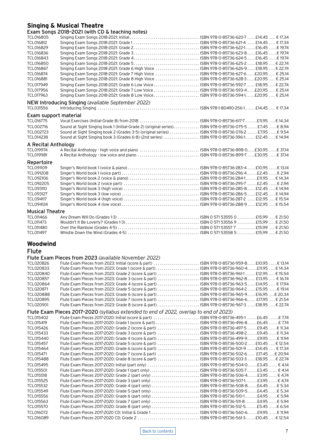### <span id="page-6-0"></span>**Singing & Musical Theatre**

Exam Songs 2018–2021 (with CD & teaching notes)

| TCL016805              |                                                                                                        |  |  |  |
|------------------------|--------------------------------------------------------------------------------------------------------|--|--|--|
| TCL016812              |                                                                                                        |  |  |  |
| TCL016829              |                                                                                                        |  |  |  |
| TCL016836              |                                                                                                        |  |  |  |
| TCL016843              |                                                                                                        |  |  |  |
| TCL016850              |                                                                                                        |  |  |  |
| TCL016867              | Singing Exam Songs 2018-2021: Grade 6 High Voice  ISBN 978-0-85736-626-9 £18.95  € 22.74               |  |  |  |
| TCL016874              | Singing Exam Songs 2018-2021: Grade 7 High Voice ISBN 978-0-85736-627-6 £20.95  € 25.14                |  |  |  |
| TCL016881              | Singing Exam Songs 2018-2021: Grade 8 High Voice  ISBN 978-0-85736-628-3£20.95  € 25.14                |  |  |  |
| TCL017949              | Singing Exam Songs 2018-2021: Grade 6 Low VoiceISBN 978-0-85736-592-7  £18.95  € 22.74                 |  |  |  |
| TCL017956              |                                                                                                        |  |  |  |
| TCL017963              | Singing Exam Songs 2018-2021: Grade 8 Low VoiceISBN 978-0-85736-594-1£20.95  € 25.14                   |  |  |  |
|                        | NEW Introducing Singing (available September 2022)                                                     |  |  |  |
| TCL031556              |                                                                                                        |  |  |  |
| Exam support material  |                                                                                                        |  |  |  |
| <b>TCL016775</b>       | Vocal Exercises (Initial-Grade 8) from 2018 ISBN 978-0-85736-617-7  £11.95  € 14.34                    |  |  |  |
| TCL002716              | Sound at Sight Singing book 1 (Initial-Grade 2) (original series) ISBN 978-0-85736-075-5 £7.45  € 8.94 |  |  |  |
| TCL002723              | Sound at Sight Singing book 2 (Grades 3-5) (original series)  ISBN 978-0-85736-076-2  £7.95  € 9.54    |  |  |  |
| TCL014238              | Sound at Sight Singing book 3 (Grades 6-8) (2nd series)  ISBN 978-0-85736-396-1 £12.45  € 14.94        |  |  |  |
| A Recital Anthology    |                                                                                                        |  |  |  |
| TCL019974              | A Recital Anthology - high voice and piano  ISBN 978-0-85736-898-0£30.95  € 37.14                      |  |  |  |
| TCL019981              |                                                                                                        |  |  |  |
| Repertoire             |                                                                                                        |  |  |  |
| TCL091109              |                                                                                                        |  |  |  |
| <b>TCL091208</b>       |                                                                                                        |  |  |  |
| TCL092106              |                                                                                                        |  |  |  |
| <b>TCL092205</b>       |                                                                                                        |  |  |  |
| <b>TCL093110</b>       |                                                                                                        |  |  |  |
| <b>TCL093127</b>       |                                                                                                        |  |  |  |
| <b>TCL094117</b>       |                                                                                                        |  |  |  |
| <b>TCL094124</b>       |                                                                                                        |  |  |  |
| <b>Musical Theatre</b> |                                                                                                        |  |  |  |
| TCL011466              |                                                                                                        |  |  |  |
| TCL011473              |                                                                                                        |  |  |  |
| <b>TCL011480</b>       |                                                                                                        |  |  |  |
| TCL011497              |                                                                                                        |  |  |  |

### **Woodwind**

# Flute Flute Exam Pieces from 2023 *(available November 2022)*

| TCL020826        | Flute Exam Pieces from 2023: Initial (score & part)  ISBN 978-0-85736-959-8 £10.95  € 13.14  |
|------------------|----------------------------------------------------------------------------------------------|
| TCL020833        | Flute Exam Pieces from 2023: Grade 1 (score & part) ISBN 978-0-85736-960-4£11.95  € 14.34    |
| TCL020840        | Flute Exam Pieces from 2023: Grade 2 (score & part)  ISBN 978-0-85736-961-1  £12.95  € 15.54 |
| TCL020857        | Flute Exam Pieces from 2023: Grade 3 (score & part)  ISBN 978-0-85736-962-8 £13.95  € 16.74  |
| TCL020864        |                                                                                              |
| TCL020871        | Flute Exam Pieces from 2023: Grade 5 (score & part)  ISBN 978-0-85736-964-2 £15.95  € 19.14  |
| TCL020888        | Flute Exam Pieces from 2023: Grade 6 (score & part) ISBN 978-0-85736-965-9 £16.95 € 20.34    |
| TCL020895        | Flute Exam Pieces from 2023: Grade 7 (score & part)  ISBN 978-0-85736-966-6 £17.95  € 21.54  |
| TCL020901        |                                                                                              |
|                  | Flute Exam Pieces 2017-2020 (syllabus extended to end of 2022, overlap to end of 2023)       |
| TCL015402        | Flute Exam Pieces 2017-2020: Initial (score & part)  ISBN 978-0-85736-495-1 £6.45 € 7.74     |
| TCL015419        | Flute Exam Pieces 2017-2020: Grade 1 (score & part)  ISBN 978-0-85736-496-8£6.45 € 7.74      |
| TCL015426        | Flute Exam Pieces 2017-2020: Grade 2 (score & part)  ISBN 978-0-85736-497-5  £9.45  € 11.34  |
| TCL015433        | Flute Exam Pieces 2017-2020: Grade 3 (score & part) ISBN 978-0-85736-498-2£9.45 € 11.34      |
| TCL015440        | Flute Exam Pieces 2017-2020: Grade 4 (score & part) ISBN 978-0-85736-499-9£9.95 € 11.94      |
| TCL015457        | Flute Exam Pieces 2017-2020: Grade 5 (score & part)  ISBN 978-0-85736-500-2£10.45  € 12.54   |
| TCL015464        | Flute Exam Pieces 2017-2020: Grade 6 (score & part)  ISBN 978-0-85736-501-9  £14.45  € 17.34 |
| TCL015471        | Flute Exam Pieces 2017-2020: Grade 7 (score & part)  ISBN 978-0-85736-502-6 £17.45 € 20.94   |
| TCL015488        | Flute Exam Pieces 2017-2020: Grade 8 (score & part) ISBN 978-0-85736-503-3 £18.95  € 22.74   |
| TCL015495        | Flute Exam Pieces 2017-2020: Initial (part only)  ISBN 978-0-85736-504-0£3.45  € 4.14        |
| TCL015501        | Flute Exam Pieces 2017-2020: Grade 1 (part only) ISBN 978-0-85736-505-7£3.45  € 4.14         |
| <b>TCL015518</b> | Flute Exam Pieces 2017-2020: Grade 2 (part only)  ISBN 978-0-85736-506-4£3.95  € 4.74        |
| TCL015525        | Flute Exam Pieces 2017-2020: Grade 3 (part only)  ISBN 978-0-85736-507-1£3.95  € 4.74        |
| TCL015532        | Flute Exam Pieces 2017-2020: Grade 4 (part only)  ISBN 978-0-85736-508-8£4.45 € 5.34         |
| TCL015549        | Flute Exam Pieces 2017-2020: Grade 5 (part only)  ISBN 978-0-85736-509-5£4.45 € 5.34         |
| TCL015556        | Flute Exam Pieces 2017-2020: Grade 6 (part only)  ISBN 978-0-85736-510-1£4.95  € 5.94        |
| TCL015563        | Flute Exam Pieces 2017-2020: Grade 7 (part only)  ISBN 978-0-85736-511-8£4.95 € 5.94         |
| <b>TCL015570</b> | Flute Exam Pieces 2017-2020: Grade 8 (part only)  ISBN 978-0-85736-512-5£5.45 € 6.54         |
| TCL016072        |                                                                                              |
| TCL016089        |                                                                                              |

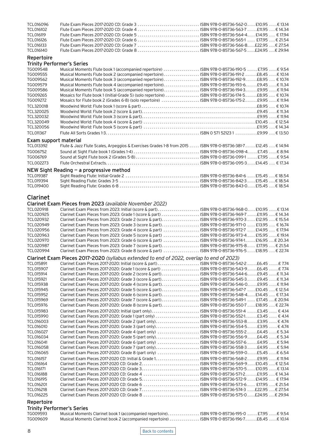| TCL016096                         |                                                                                                                                                                                               |  |
|-----------------------------------|-----------------------------------------------------------------------------------------------------------------------------------------------------------------------------------------------|--|
| TCL016102                         |                                                                                                                                                                                               |  |
| TCL016119                         |                                                                                                                                                                                               |  |
| TCL016126<br>TCL016133            | Flute Exam Pieces 2017-2020 CD: Grade 7 ISBN 978-0-85736-566-8£22.95 € 27.54                                                                                                                  |  |
| TCL016140                         |                                                                                                                                                                                               |  |
| Repertoire                        |                                                                                                                                                                                               |  |
| <b>Trinity Performer's Series</b> |                                                                                                                                                                                               |  |
| TG009548                          | Musical Moments Flute book 1 (accompanied repertoire)  ISBN 978-0-85736-190-5  £7.95  € 9.54                                                                                                  |  |
| TG009555                          | Musical Moments Flute book 2 (accompanied repertoire) ISBN 978-0-85736-191-2 £8.45  € 10.14                                                                                                   |  |
| TG009562                          | Musical Moments Flute book 3 (accompanied repertoire)ISBN 978-0-85736-192-9£8.95  € 10.74                                                                                                     |  |
| TG009579                          |                                                                                                                                                                                               |  |
| TG009586                          | Musical Moments Flute book 5 (accompanied repertoire) ISBN 978-0-85736-194-3 £9.95  € 11.94                                                                                                   |  |
| TG009265                          | Mosaics for Flute book 1 (Initial-Grade 5) (solo repertoire)  ISBN 978-0-85736-174-5£8.95  € 10.74                                                                                            |  |
| TG009272                          | Mosaics for Flute book 2 (Grades 6-8) (solo repertoire)  ISBN 978-0-85736-175-2 £9.95  € 11.94                                                                                                |  |
| TCL320018                         |                                                                                                                                                                                               |  |
| TCL320025<br>TCL320032            |                                                                                                                                                                                               |  |
| TCL320049                         |                                                                                                                                                                                               |  |
| TCL320056                         |                                                                                                                                                                                               |  |
| TCL011367                         |                                                                                                                                                                                               |  |
| Exam support material             |                                                                                                                                                                                               |  |
| TCL013392                         | Flute & Jazz Flute Scales, Arpeggios & Exercises Grades 1-8 from 2015  ISBN 978-0-85736-381-7 £12.45  € 14.94                                                                                 |  |
| TG006752                          |                                                                                                                                                                                               |  |
| TG006769                          |                                                                                                                                                                                               |  |
| TCL002273                         |                                                                                                                                                                                               |  |
|                                   | NEW Sight Reading - a progressive method                                                                                                                                                      |  |
| TCL019387                         |                                                                                                                                                                                               |  |
| TCL019394                         |                                                                                                                                                                                               |  |
| TCL019400                         |                                                                                                                                                                                               |  |
|                                   |                                                                                                                                                                                               |  |
| <b>Clarinet</b>                   |                                                                                                                                                                                               |  |
|                                   | Clarinet Exam Pieces from 2023 (available November 2022)                                                                                                                                      |  |
| TCL020918                         | Clarinet Exam Pieces from 2023: Initial (score & part) ISBN 978-0-85736-968-0 £10.95  € 13.14                                                                                                 |  |
| TCL020925                         | Clarinet Exam Pieces from 2023: Grade 1 (score & part)  ISBN 978-0-85736-969-7 £11.95  € 14.34                                                                                                |  |
| TCL020932                         |                                                                                                                                                                                               |  |
| TCL020949<br>TCL020956            | Clarinet Exam Pieces from 2023: Grade 4 (score & part)  ISBN 978-0-85736-972-7  £14.95  € 17.94                                                                                               |  |
| TCL020963                         | Clarinet Exam Pieces from 2023: Grade 5 (score & part)  ISBN 978-0-85736-973-4 £15.95  € 19.14                                                                                                |  |
| TCL020970                         | Clarinet Exam Pieces from 2023: Grade 6 (score & part) ISBN 978-0-85736-974-1 £16.95 € 20.34                                                                                                  |  |
| TCL020987                         | Clarinet Exam Pieces from 2023: Grade 7 (score & part) ISBN 978-0-85736-975-8 £17.95  € 21.54                                                                                                 |  |
| TCL020994                         | Clarinet Exam Pieces from 2023: Grade 8 (score & part)  ISBN 978-0-85736-976-5£18.95  € 22.74                                                                                                 |  |
|                                   | Clarinet Exam Pieces 2017-2020 (syllabus extended to end of 2022, overlap to end of 2023)                                                                                                     |  |
| TCL015891                         | Clarinet Exam Pieces 2017-2020: Initial (score & part) ISBN 978-0-85736-542-2£6.45 € 7.74                                                                                                     |  |
| TCL015907                         | Clarinet Exam Pieces 2017-2020: Grade 1 (score & part)  ISBN 978-0-85736-543-9£6.45 € 7.74                                                                                                    |  |
| TCL015914                         | Clarinet Exam Pieces 2017-2020: Grade 2 (score & part)ISBN 978-0-85736-544-6£9.45 € 11.34                                                                                                     |  |
| TCL015921                         | Clarinet Exam Pieces 2017-2020: Grade 3 (score & part)ISBN 978-0-85736-545-3£9.45 € 11.34                                                                                                     |  |
| TCL015938                         | Clarinet Exam Pieces 2017-2020: Grade 4 (score & part). ISBN 978-0-85736-546-0. €9.95 € 11.94                                                                                                 |  |
| TCL015945<br>TCL015952            | Clarinet Exam Pieces 2017-2020: Grade 5 (score & part). ISBN 978-0-85736-547-7 £10.45 € 12.54<br>Clarinet Exam Pieces 2017-2020: Grade 6 (score & part)ISBN 978-0-85736-548-4 £14.45  € 17.34 |  |
| TCL015969                         | Clarinet Exam Pieces 2017-2020: Grade 7 (score & part) ISBN 978-0-85736-549-1  £17.45  € 20.94                                                                                                |  |
| TCL015976                         | Clarinet Exam Pieces 2017-2020: Grade 8 (score & part). ISBN 978-0-85736-550-7 £18.95 € 22.74                                                                                                 |  |
| TCL015983                         | Clarinet Exam Pieces 2017-2020: Initial (part only) ISBN 978-0-85736-551-4 £3.45  € 4.14                                                                                                      |  |
| TCL015990                         | Clarinet Exam Pieces 2017-2020: Grade 1 (part only)  ISBN 978-0-85736-552-1£3.45  € 4.14                                                                                                      |  |
| TCL016003                         | Clarinet Exam Pieces 2017-2020: Grade 2 (part only) ISBN 978-0-85736-553-8£3.95  € 4.74                                                                                                       |  |
| TCL016010                         | Clarinet Exam Pieces 2017-2020: Grade 3 (part only) ISBN 978-0-85736-554-5£3.95  € 4.74                                                                                                       |  |
| TCL016027                         | Clarinet Exam Pieces 2017-2020: Grade 4 (part only) ISBN 978-0-85736-555-2£4.45 € 5.34                                                                                                        |  |
| TCL016034<br>TCL016041            | Clarinet Exam Pieces 2017-2020: Grade 5 (part only)ISBN 978-0-85736-556-9£4.45 € 5.34<br>Clarinet Exam Pieces 2017-2020: Grade 6 (part only) ISBN 978-0-85736-557-6  £4.95  € 5.94            |  |
| TCL016058                         | Clarinet Exam Pieces 2017-2020: Grade 7 (part only) ISBN 978-0-85736-558-3£4.95 € 5.94                                                                                                        |  |
| TCL016065                         | Clarinet Exam Pieces 2017-2020: Grade 8 (part only) ISBN 978-0-85736-559-0£5.45 € 6.54                                                                                                        |  |
| TCL016157                         |                                                                                                                                                                                               |  |
| TCL016164                         |                                                                                                                                                                                               |  |
| TCL016171                         |                                                                                                                                                                                               |  |
| TCL016188                         | Clarinet Exam Pieces 2017-2020 CD: Grade 4 ISBN 978-0-85736-571-2£11.95  € 14.34                                                                                                              |  |
| TCL016195                         |                                                                                                                                                                                               |  |
| TCL016201<br>TCL016218            | Clarinet Exam Pieces 2017-2020 CD: Grade 6  ISBN 978-0-85736-573-6 £17.95  € 21.54                                                                                                            |  |
| TCL016225                         | Clarinet Exam Pieces 2017-2020 CD: Grade 8  ISBN 978-0-85736-575-0£24.95 € 29.94                                                                                                              |  |
|                                   |                                                                                                                                                                                               |  |

### Repertoire

### Trinity Performer's Series

| TG009593 | Musical Moments Clarinet book 1 (accompanied repertoire). ISBN 978-0-85736-195-0 £7.95 € 9.54 |  |
|----------|-----------------------------------------------------------------------------------------------|--|
| TG009609 | Musical Moments Clarinet book 2 (accompanied repertoire) ISBN 978-0-85736-196-7£8.45 € 10.14  |  |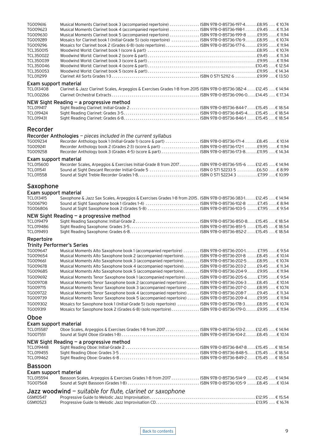| TG009616<br>TG009623                                             | Musical Moments Clarinet book 3 (accompanied repertoire)  ISBN 978-0-85736-197-4£8.95  € 10.74<br>Musical Moments Clarinet book 4 (accompanied repertoire)  ISBN 978-0-85736-198-1  £9.45 € 11.34            |  |
|------------------------------------------------------------------|--------------------------------------------------------------------------------------------------------------------------------------------------------------------------------------------------------------|--|
| TG009630                                                         | Musical Moments Clarinet book 5 (accompanied repertoire)  ISBN 978-0-85736-199-8  £9.95  € 11.94                                                                                                             |  |
| TG009289                                                         | Mosaics for Clarinet book 1 (Initial-Grade 5) (solo repertoire)  ISBN 978-0-85736-176-9£8.95  € 10.74                                                                                                        |  |
| TG009296                                                         | Mosaics for Clarinet book 2 (Grades 6-8) (solo repertoire)  ISBN 978-0-85736-177-6£9.95 € 11.94                                                                                                              |  |
| TCL350015                                                        |                                                                                                                                                                                                              |  |
| TCL350022                                                        |                                                                                                                                                                                                              |  |
| TCL350039                                                        |                                                                                                                                                                                                              |  |
| TCL350046<br>TCL350053                                           |                                                                                                                                                                                                              |  |
| TCL011299                                                        |                                                                                                                                                                                                              |  |
| Exam support material                                            |                                                                                                                                                                                                              |  |
| TCL013408                                                        | Clarinet & Jazz Clarinet Scales, Arpeggios & Exercises Grades 1-8 from 2015 ISBN 978-0-85736-382-4 £12.45 € 14.94                                                                                            |  |
| TCL002266                                                        |                                                                                                                                                                                                              |  |
|                                                                  | NEW Sight Reading - a progressive method                                                                                                                                                                     |  |
| TCL019417                                                        |                                                                                                                                                                                                              |  |
| TCL019424                                                        |                                                                                                                                                                                                              |  |
| TCL019431                                                        |                                                                                                                                                                                                              |  |
|                                                                  |                                                                                                                                                                                                              |  |
| Recorder                                                         |                                                                                                                                                                                                              |  |
|                                                                  | Recorder Anthologies - pieces included in the current syllabus                                                                                                                                               |  |
| TG009234                                                         | Recorder Anthology book 1 (Initial-Grade 1) (score & part)  ISBN 978-0-85736-171-4 £8.45 € 10.14                                                                                                             |  |
| TG009241                                                         | Recorder Anthology book 2 (Grades 2-3) (score & part) ISBN 978-0-85736-172-1 £9.95 € 11.94<br>Recorder Anthology book 3 (Grades 4-5) (score & part)  ISBN 978-0-85736-173-8£11.95  € 14.34                   |  |
| TG009258                                                         |                                                                                                                                                                                                              |  |
| Exam support material                                            |                                                                                                                                                                                                              |  |
| TCL015600                                                        | Recorder Scales, Arpeggios & Exercises Initial-Grade 8 from 2017 ISBN 978-0-85736-515-6  £12.45  € 14.94                                                                                                     |  |
| TCL011541                                                        | Sound at Sight Descant Recorder Initial-Grade 5  ISBN 0571522335 £6.50 € 8.99                                                                                                                                |  |
| TCL011558                                                        |                                                                                                                                                                                                              |  |
| Saxophone                                                        |                                                                                                                                                                                                              |  |
|                                                                  |                                                                                                                                                                                                              |  |
| Exam support material<br>TCL013415                               | Saxophone & Jazz Sax Scales, Arpeggios & Exercises Grades 1-8 from 2015. ISBN 978-0-85736-383-1 £12.45  € 14.94                                                                                              |  |
| TG006790                                                         | Sound at Sight Saxophone book 1 (Grades 1-4)  ISBN 978-0-85736-102-8  £7.45  € 8.94                                                                                                                          |  |
| TG006806                                                         | Sound at Sight Saxophone book 2 (Grades 5-8)  ISBN 978-0-85736-103-5  £7.95  € 9.54                                                                                                                          |  |
|                                                                  | NEW Sight Reading – a progressive method                                                                                                                                                                     |  |
| TCL019479                                                        |                                                                                                                                                                                                              |  |
| TCL019486                                                        |                                                                                                                                                                                                              |  |
| TCL019493                                                        |                                                                                                                                                                                                              |  |
| Repertoire                                                       |                                                                                                                                                                                                              |  |
| <b>Trinity Performer's Series</b>                                |                                                                                                                                                                                                              |  |
| TG009647                                                         | Musical Moments Alto Saxophone book 1 (accompanied repertoire)  ISBN 978-0-85736-200-1 £7.95 € 9.54                                                                                                          |  |
| TG009654                                                         |                                                                                                                                                                                                              |  |
|                                                                  |                                                                                                                                                                                                              |  |
| TG009661                                                         | Musical Moments Alto Saxophone book 2 (accompanied repertoire) ISBN 978-0-85736-201-8  £8.45  € 10.14<br>Musical Moments Alto Saxophone book 3 (accompanied repertoire) ISBN 978-0-85736-202-5£8.95  € 10.74 |  |
| TG009678                                                         | Musical Moments Alto Saxophone book 4 (accompanied repertoire) ISBN 978-0-85736-203-2  £9.45 € 11.34                                                                                                         |  |
| TG009685                                                         | Musical Moments Alto Saxophone book 5 (accompanied repertoire) ISBN 978-0-85736-204-9£9.95 €11.94                                                                                                            |  |
| TG009692                                                         | Musical Moments Tenor Saxophone book 1 (accompanied repertoire) ISBN 978-0-85736-205-6 £7.95  € 9.54                                                                                                         |  |
| TG009708                                                         | Musical Moments Tenor Saxophone book 2 (accompanied repertoire)  ISBN 978-0-85736-206-3 £8.45 € 10.14                                                                                                        |  |
| TG009715                                                         | Musical Moments Tenor Saxophone book 3 (accompanied repertoire)  ISBN 978-0-85736-207-0 £8.95  € 10.74                                                                                                       |  |
| TG009722                                                         | Musical Moments Tenor Saxophone book 4 (accompanied repertoire)  ISBN 978-0-85736-208-7  £9.45  € 11.34                                                                                                      |  |
| TG009739                                                         | Musical Moments Tenor Saxophone book 5 (accompanied repertoire)  ISBN 978-0-85736-209-4 £9.95  € 11.94                                                                                                       |  |
| TG009302<br>TG009319                                             | Mosaics for Saxophone book 1 (Initial-Grade 5) (solo repertoire)  ISBN 978-0-85736-178-3£8.95  € 10.74<br>Mosaics for Saxophone book 2 (Grades 6-8) (solo repertoire)ISBN 978-0-85736-179-0£9.95 € 11.94     |  |
|                                                                  |                                                                                                                                                                                                              |  |
| Oboe                                                             |                                                                                                                                                                                                              |  |
| Exam support material                                            |                                                                                                                                                                                                              |  |
| TCL015587<br>TG007551                                            | Oboe Scales, Arpeggios & Exercises Grades 1-8 from 2017  ISBN 978-0-85736-513-2 £12.45  € 14.94                                                                                                              |  |
|                                                                  |                                                                                                                                                                                                              |  |
|                                                                  | NEW Sight Reading - a progressive method                                                                                                                                                                     |  |
| TCL019448<br>TCL019455                                           |                                                                                                                                                                                                              |  |
| TCL019462                                                        |                                                                                                                                                                                                              |  |
|                                                                  |                                                                                                                                                                                                              |  |
|                                                                  |                                                                                                                                                                                                              |  |
|                                                                  |                                                                                                                                                                                                              |  |
|                                                                  | Bassoon Scales, Arpeggios & Exercises Grades 1-8 from 2017  ISBN 978-0-85736-514-9  £12.45  € 14.94                                                                                                          |  |
| <b>Bassoon</b><br>Exam support material<br>TCL015594<br>TG007568 |                                                                                                                                                                                                              |  |
|                                                                  | Jazz woodwind - suitable for flute, clarinet or saxophone                                                                                                                                                    |  |
| GSM10547<br>GSM10523                                             |                                                                                                                                                                                                              |  |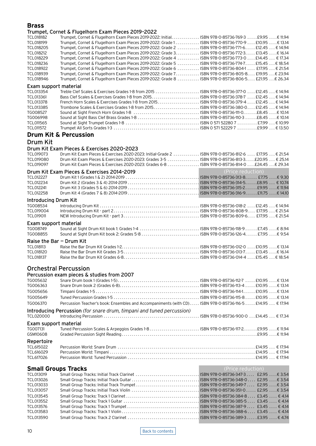### <span id="page-9-0"></span>**Brass**

### Trumpet, Cornet & Flugelhorn Exam Pieces 2019–2022

| TCL018182<br>TCL018199<br><b>TCL018205</b><br>TCL018212<br>TCL018229<br>TCL018236<br>TCL018922<br>TCL018939<br>TCL018946 | maniper, corrier a magement Exam meets 2012 2022<br>Trumpet, Cornet & Flugelhorn Exam Pieces 2019-2022: Initial. ISBN 978-0-85736-769-3 £9.95 6 11.94<br>Trumpet, Cornet & Flugelhorn Exam Pieces 2019-2022: Grade 1. ISBN 978-0-85736-770-9 E10.95 E 13.14<br>Trumpet, Cornet & Flugelhorn Exam Pieces 2019-2022: Grade 2  ISBN 978-0-85736-771-6 £12.45  € 14.94<br>Trumpet, Cornet & Flugelhorn Exam Pieces 2019-2022: Grade 3. ISBN 978-0-85736-772-3. E13.45 € 16.14<br>Trumpet, Cornet & Flugelhorn Exam Pieces 2019-2022: Grade 4  ISBN 978-0-85736-773-0  £14.45  € 17.34<br>Trumpet, Cornet & Flugelhorn Exam Pieces 2019-2022: Grade 5  ISBN 978-0-85736-774-7 £15.45  € 18.54<br>Trumpet, Cornet & Flugelhorn Exam Pieces 2019-2022: Grade 6  ISBN 978-0-85736-804-1  £17.95  € 21.54<br>Trumpet, Cornet & Flugelhorn Exam Pieces 2019-2022: Grade 7. ISBN 978-0-85736-805-8. £19.95 € 23.94<br>Trumpet, Cornet & Flugelhorn Exam Pieces 2019-2022: Grade 8  ISBN 978-0-85736-806-5 £21.95 € 26.34 |                   |
|--------------------------------------------------------------------------------------------------------------------------|---------------------------------------------------------------------------------------------------------------------------------------------------------------------------------------------------------------------------------------------------------------------------------------------------------------------------------------------------------------------------------------------------------------------------------------------------------------------------------------------------------------------------------------------------------------------------------------------------------------------------------------------------------------------------------------------------------------------------------------------------------------------------------------------------------------------------------------------------------------------------------------------------------------------------------------------------------------------------------------------------------------|-------------------|
| Exam support material                                                                                                    |                                                                                                                                                                                                                                                                                                                                                                                                                                                                                                                                                                                                                                                                                                                                                                                                                                                                                                                                                                                                               |                   |
| TCL013354<br>TCL013361<br>TCL013378<br>TCL013385<br>TG008527<br>TG006998<br>TCL011565<br>TCL011572                       | Treble Clef Scales & Exercises Grades 1-8 from 2015  ISBN 978-0-85736-377-0  £12.45  € 14.94<br>French Horn Scales & Exercises Grades 1-8 from 2015 ISBN 978-0-85736-379-4£12.45€14.94<br>Trombone Scales & Exercises Grades 1-8 from 2015 ISBN 978-0-85736-380-0 £12.45  € 14.94<br><b>Drum Kit &amp; Percussion</b>                                                                                                                                                                                                                                                                                                                                                                                                                                                                                                                                                                                                                                                                                         |                   |
| Drum Kit                                                                                                                 |                                                                                                                                                                                                                                                                                                                                                                                                                                                                                                                                                                                                                                                                                                                                                                                                                                                                                                                                                                                                               |                   |
| TCL019073<br>TCL019080<br>TCL019097                                                                                      | Drum Kit Exam Pieces & Exercises 2020-2023<br>Drum Kit Exam Pieces & Exercises 2020-2023: Initial-Grade 2  ISBN 978-0-85736-812-6  £17.95  € 21.54<br>Drum Kit Exam Pieces & Exercises 2020-2023: Grades 3-5  ISBN 978-0-85736-813-3£20.95  € 25.14<br>Drum Kit Exam Pieces & Exercises 2020-2023: Grades 6-8  ISBN 978-0-85736-814-0 £24.45 € 29.34                                                                                                                                                                                                                                                                                                                                                                                                                                                                                                                                                                                                                                                          |                   |
| <b>TCL012227</b><br>TCL012234<br>TCL012241<br><b>TCL012258</b>                                                           | Drum Kit Exam Pieces & Exercises 2014-2019                                                                                                                                                                                                                                                                                                                                                                                                                                                                                                                                                                                                                                                                                                                                                                                                                                                                                                                                                                    | (Price reduction) |
| <b>Introducing Drum Kit</b><br>TG008534<br>TCL019004<br><b>TCL019011</b>                                                 |                                                                                                                                                                                                                                                                                                                                                                                                                                                                                                                                                                                                                                                                                                                                                                                                                                                                                                                                                                                                               |                   |
| Exam support material<br>TG008749<br>TG008855                                                                            |                                                                                                                                                                                                                                                                                                                                                                                                                                                                                                                                                                                                                                                                                                                                                                                                                                                                                                                                                                                                               |                   |
| Raise the Bar - Drum Kit<br><b>TCL018113</b><br>TCL018120<br><b>TCL018137</b>                                            |                                                                                                                                                                                                                                                                                                                                                                                                                                                                                                                                                                                                                                                                                                                                                                                                                                                                                                                                                                                                               |                   |
| <b>Orchestral Percussion</b>                                                                                             |                                                                                                                                                                                                                                                                                                                                                                                                                                                                                                                                                                                                                                                                                                                                                                                                                                                                                                                                                                                                               |                   |
| TG005632<br>TG006363<br>TG005656<br>TG005649                                                                             | Percussion exam pieces & studies from 2007                                                                                                                                                                                                                                                                                                                                                                                                                                                                                                                                                                                                                                                                                                                                                                                                                                                                                                                                                                    |                   |
| TG006370                                                                                                                 | Percussion Teacher's book: Ensembles and Accompaniments (with CD) ISBN 978-0-85736-116-5 £14.95  € 17.94                                                                                                                                                                                                                                                                                                                                                                                                                                                                                                                                                                                                                                                                                                                                                                                                                                                                                                      |                   |
| <b>TCL020000</b>                                                                                                         | Introducing Percussion (for snare drum, timpani and tuned percussion)                                                                                                                                                                                                                                                                                                                                                                                                                                                                                                                                                                                                                                                                                                                                                                                                                                                                                                                                         |                   |
| Exam support material<br>TG007131<br>GSM10608                                                                            | Tuned Percussion Scales & Arpeggios Grades 1-8 ISBN 978-0-85736-117-2 £9.95  € 11.94                                                                                                                                                                                                                                                                                                                                                                                                                                                                                                                                                                                                                                                                                                                                                                                                                                                                                                                          |                   |
| Repertoire<br>TCL615022<br>TCL616029<br>TCL617026                                                                        |                                                                                                                                                                                                                                                                                                                                                                                                                                                                                                                                                                                                                                                                                                                                                                                                                                                                                                                                                                                                               |                   |
| <b>Small Groups Tracks</b>                                                                                               |                                                                                                                                                                                                                                                                                                                                                                                                                                                                                                                                                                                                                                                                                                                                                                                                                                                                                                                                                                                                               | (Price reduction) |
| TCL013019<br>TCL013026<br>TCL013033                                                                                      |                                                                                                                                                                                                                                                                                                                                                                                                                                                                                                                                                                                                                                                                                                                                                                                                                                                                                                                                                                                                               |                   |

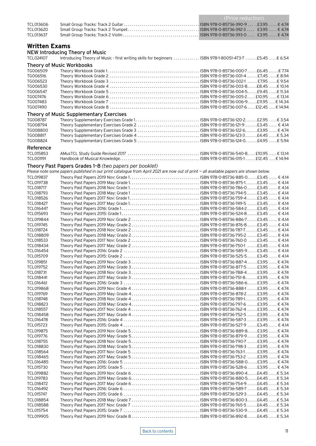<span id="page-10-0"></span>

|                        |                                                                                                                                                  | (Price reduction) |
|------------------------|--------------------------------------------------------------------------------------------------------------------------------------------------|-------------------|
| TCL013606              |                                                                                                                                                  |                   |
| TCL013620              |                                                                                                                                                  |                   |
| TCL013637              |                                                                                                                                                  |                   |
|                        |                                                                                                                                                  |                   |
| <b>Written Exams</b>   |                                                                                                                                                  |                   |
| TCL024107              | <b>NEW Introducing Theory of Music</b><br>Introducing Theory of Music - first writing skills for beginners  ISBN 978-1-80051-473-7 £5.45  € 6.54 |                   |
|                        |                                                                                                                                                  |                   |
| TG006509               | <b>Theory of Music Workbooks</b>                                                                                                                 |                   |
| TG006516               |                                                                                                                                                  |                   |
| TG006523               |                                                                                                                                                  |                   |
| TG006530               |                                                                                                                                                  |                   |
| TG006547<br>TG007476   |                                                                                                                                                  |                   |
| TG007483               |                                                                                                                                                  |                   |
| TG007490               |                                                                                                                                                  |                   |
|                        | Theory of Music Supplementary Exercises                                                                                                          |                   |
| TG008787               |                                                                                                                                                  |                   |
| TG008794               | Theory Supplementary Exercises Grade 2  ISBN 978-0-85736-121-9  £3.45  € 4.14                                                                    |                   |
| TG008800<br>TG008817   |                                                                                                                                                  |                   |
| TG008824               | Theory Supplementary Exercises Grade 5  ISBN 978-0-85736-124-0 £4.95  € 5.94                                                                     |                   |
| Reference              |                                                                                                                                                  |                   |
| TCL015853              |                                                                                                                                                  |                   |
| TCL001191              |                                                                                                                                                  |                   |
|                        | Theory Past Papers Grades 1-8 (two papers per booklet)                                                                                           |                   |
|                        | Please note some papers published in our print catalogue from April 2021 are now out of print - all available papers are shown below.            |                   |
| TCL019837              |                                                                                                                                                  |                   |
| TCL019738              |                                                                                                                                                  |                   |
| TCL018717<br>TCL018793 |                                                                                                                                                  |                   |
| TCL018526              |                                                                                                                                                  |                   |
| TCL018427              |                                                                                                                                                  |                   |
| TCL016447              |                                                                                                                                                  |                   |
| TCL015693              |                                                                                                                                                  |                   |
| TCL019844<br>TCL019745 |                                                                                                                                                  |                   |
| TCL018724              |                                                                                                                                                  |                   |
| TCL018809              |                                                                                                                                                  |                   |
| TCL018533              |                                                                                                                                                  |                   |
| TCL018434<br>TCL016454 |                                                                                                                                                  |                   |
| TCL015709              |                                                                                                                                                  |                   |
| TCL019851              |                                                                                                                                                  |                   |
| TCL019752              |                                                                                                                                                  |                   |
| TCL018731              |                                                                                                                                                  |                   |
| TCL018441              |                                                                                                                                                  |                   |
| TCL016461<br>TCL019868 |                                                                                                                                                  |                   |
| TCL019769              |                                                                                                                                                  |                   |
| TCL018748              |                                                                                                                                                  |                   |
| TCL018823              |                                                                                                                                                  |                   |
| TCL018557<br>TCL018458 |                                                                                                                                                  |                   |
| TCL016478              |                                                                                                                                                  |                   |
| TCL015723              |                                                                                                                                                  |                   |
| TCL019875              |                                                                                                                                                  |                   |
| TCL019776              |                                                                                                                                                  |                   |
| TCL018755              |                                                                                                                                                  |                   |
| TCL018830<br>TCL018564 |                                                                                                                                                  |                   |
| TCL018465              |                                                                                                                                                  |                   |
| TCL016485              |                                                                                                                                                  |                   |
| TCL015730              |                                                                                                                                                  |                   |
| TCL019882              |                                                                                                                                                  |                   |
| TCL019783<br>TCL018472 |                                                                                                                                                  |                   |
| TCL016492              |                                                                                                                                                  |                   |
| TCL015747              |                                                                                                                                                  |                   |
| TCL018854              |                                                                                                                                                  |                   |
| TCL018588              |                                                                                                                                                  |                   |
| TCL015754<br>TCL019905 |                                                                                                                                                  |                   |
|                        |                                                                                                                                                  |                   |

[Back to contents](#page-1-0) 11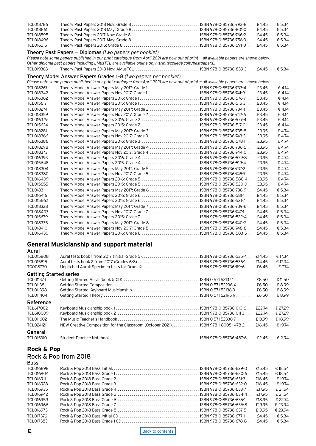<span id="page-11-0"></span>

| TCL018786        |                                                                                                                                       |  |
|------------------|---------------------------------------------------------------------------------------------------------------------------------------|--|
| TCL018861        |                                                                                                                                       |  |
| TCL018595        |                                                                                                                                       |  |
| TCL018496        |                                                                                                                                       |  |
| TCL016515        |                                                                                                                                       |  |
|                  | Theory Past Papers - Diplomas (two papers per booklet)                                                                                |  |
|                  | Please note some papers published in our print catalogue from April 2021 are now out of print - all available papers are shown below. |  |
|                  | Other diploma past papers including LMusTCL are available online only (trinitycollege.com/pastpapers).                                |  |
| TCL019363        |                                                                                                                                       |  |
|                  | Theory Model Answer Papers Grades 1-8 (two papers per booklet)                                                                        |  |
|                  | Please note some papers published in our print catalogue from April 2021 are now out of print - all available papers are shown below. |  |
| <b>TCL018267</b> |                                                                                                                                       |  |
| TCL018342        |                                                                                                                                       |  |
| TCL016362        |                                                                                                                                       |  |
| TCL015617        |                                                                                                                                       |  |
| TCL018274        |                                                                                                                                       |  |
| TCL018359        | Theory Model Answer Papers Nov 2017: Grade 2  ISBN 978-0-85736-742-6  £3.45  € 4.14                                                   |  |
| TCL016379        | Theory Model Answer Papers 2016: Grade 2  ISBN 978-0-85736-577-4 £3.45  € 4.14                                                        |  |
| TCL015624        | Theory Model Answer Papers 2015: Grade 2  ISBN 978-0-85736-517-0£3.45  € 4.14                                                         |  |
| <b>TCL018281</b> | Theory Model Answer Papers May 2017: Grade 3  ISBN 978-0-85736-735-8  £3.95  € 4.74                                                   |  |
| TCL018366        | Theory Model Answer Papers Nov 2017: Grade 3  ISBN 978-0-85736-743-3£3.95  € 4.74                                                     |  |
| TCL016386        |                                                                                                                                       |  |
| TCL018298        |                                                                                                                                       |  |
| TCL018373        | Theory Model Answer Papers Nov 2017: Grade 4  ISBN 978-0-85736-744-0  £3.95  € 4.74                                                   |  |
| TCL016393        |                                                                                                                                       |  |
| TCL015648        |                                                                                                                                       |  |
| TCL018304        |                                                                                                                                       |  |
| TCL018380        | Theory Model Answer Papers Nov 2017: Grade 5  ISBN 978-0-85736-745-7  £3.95  € 4.74                                                   |  |
| TCL016409        | Theory Model Answer Papers 2016: Grade 5 ISBN 978-0-85736-580-4£3.95  € 4.74                                                          |  |
| TCL015655        | Theory Model Answer Papers 2015: Grade 5  ISBN 978-0-85736-520-0 £3.95  € 4.74                                                        |  |
| TCL018311        |                                                                                                                                       |  |
| TCL016416        | Theory Model Answer Papers 2016: Grade 6  ISBN 978-0-85736-581-1  £4.45  € 5.34                                                       |  |
| TCL015662        |                                                                                                                                       |  |
| <b>TCL018328</b> | Theory Model Answer Papers May 2017: Grade 7  ISBN 978-0-85736-739-6 £4.45  € 5.34                                                    |  |
| TCL018403        | Theory Model Answer Papers Nov 2017: Grade 7  ISBN 978-0-85736-747-1  £4.45  € 5.34                                                   |  |
| TCL015679        | Theory Model Answer Papers 2015: Grade 7  ISBN 978-0-85736-522-4  £4.45  € 5.34                                                       |  |
| TCL018335        |                                                                                                                                       |  |
| TCL018410        |                                                                                                                                       |  |
| TCL016430        |                                                                                                                                       |  |

### **General Musicianship and support material**

| Aural<br>TCL015808<br>TCL015815<br>TG008770 |                                                                                                 |  |
|---------------------------------------------|-------------------------------------------------------------------------------------------------|--|
| <b>Getting Started series</b>               |                                                                                                 |  |
| TCL011374                                   |                                                                                                 |  |
| TCL011381                                   |                                                                                                 |  |
| TCL011398                                   |                                                                                                 |  |
| TCL011404                                   |                                                                                                 |  |
| Reference                                   |                                                                                                 |  |
| TCL617002                                   |                                                                                                 |  |
| TCL618009                                   |                                                                                                 |  |
| TCL011602                                   |                                                                                                 |  |
| TCL024121                                   | NEW Creative Composition for the Classroom (October 2021) ISBN 978-1-80051-478-2 £16.45 € 19.74 |  |
| General<br>TCL015310                        |                                                                                                 |  |
|                                             |                                                                                                 |  |

# **Rock & Pop**

### Rock & Pop from 2018

| <b>Bass</b> |  |
|-------------|--|
| TCL016898   |  |
| TCL016904   |  |
| TCL016911   |  |
| TCL016928   |  |
| TCL016935   |  |
| TCL016942   |  |
| TCL016959   |  |
| TCL016966   |  |
| TCL016973   |  |
| TCL017376   |  |
| TCL017383   |  |

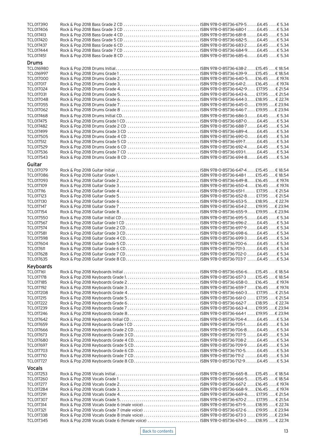| TCL017390              |                                                                                       |  |  |  |
|------------------------|---------------------------------------------------------------------------------------|--|--|--|
| TCL017406              |                                                                                       |  |  |  |
| TCL017413              |                                                                                       |  |  |  |
| <b>TCL017420</b>       |                                                                                       |  |  |  |
| TCL017437              |                                                                                       |  |  |  |
| TCL017444              |                                                                                       |  |  |  |
| TCL017451              |                                                                                       |  |  |  |
| <b>Drums</b>           |                                                                                       |  |  |  |
| TCL016980              |                                                                                       |  |  |  |
| TCL016997              |                                                                                       |  |  |  |
| <b>TCL017000</b>       |                                                                                       |  |  |  |
| <b>TCL017017</b>       |                                                                                       |  |  |  |
| TCL017024              |                                                                                       |  |  |  |
| TCL017031              |                                                                                       |  |  |  |
| TCL017048              |                                                                                       |  |  |  |
| TCL017055              |                                                                                       |  |  |  |
| TCL017062              |                                                                                       |  |  |  |
|                        |                                                                                       |  |  |  |
| TCL017468              |                                                                                       |  |  |  |
| <b>TCL017475</b>       |                                                                                       |  |  |  |
| <b>TCL017482</b>       |                                                                                       |  |  |  |
| TCL017499              |                                                                                       |  |  |  |
| TCL017505              |                                                                                       |  |  |  |
| TCL017512              |                                                                                       |  |  |  |
| TCL017529              |                                                                                       |  |  |  |
| TCL017536              |                                                                                       |  |  |  |
| TCL017543              |                                                                                       |  |  |  |
| Guitar                 |                                                                                       |  |  |  |
| <b>TCL017079</b>       |                                                                                       |  |  |  |
| <b>TCL017086</b>       |                                                                                       |  |  |  |
| TCL017093              |                                                                                       |  |  |  |
|                        |                                                                                       |  |  |  |
| TCL017109              |                                                                                       |  |  |  |
| <b>TCL017116</b>       |                                                                                       |  |  |  |
| <b>TCL017123</b>       |                                                                                       |  |  |  |
| <b>TCL017130</b>       |                                                                                       |  |  |  |
| <b>TCL017147</b>       |                                                                                       |  |  |  |
| TCL017154              |                                                                                       |  |  |  |
| <b>TCL017550</b>       |                                                                                       |  |  |  |
| <b>TCL017567</b>       |                                                                                       |  |  |  |
| <b>TCL017574</b>       |                                                                                       |  |  |  |
| TCL017581              |                                                                                       |  |  |  |
| TCL017598              |                                                                                       |  |  |  |
| <b>TCL017604</b>       |                                                                                       |  |  |  |
| <b>TCL017611</b>       |                                                                                       |  |  |  |
| <b>TCL017628</b>       |                                                                                       |  |  |  |
| TCL017635              |                                                                                       |  |  |  |
|                        |                                                                                       |  |  |  |
| Keyboards              |                                                                                       |  |  |  |
| TCL017161              |                                                                                       |  |  |  |
| <b>TCL017178</b>       |                                                                                       |  |  |  |
| TCL017185              |                                                                                       |  |  |  |
| TCL017192              |                                                                                       |  |  |  |
| <b>TCL017208</b>       |                                                                                       |  |  |  |
| <b>TCL017215</b>       |                                                                                       |  |  |  |
| <b>TCL017222</b>       |                                                                                       |  |  |  |
| TCL017239              |                                                                                       |  |  |  |
| TCL017246              |                                                                                       |  |  |  |
| TCL017642              |                                                                                       |  |  |  |
| TCL017659              |                                                                                       |  |  |  |
| TCL017666              |                                                                                       |  |  |  |
| TCL017673              |                                                                                       |  |  |  |
| <b>TCL017680</b>       |                                                                                       |  |  |  |
| <b>TCL017697</b>       |                                                                                       |  |  |  |
| TCL017703              |                                                                                       |  |  |  |
|                        |                                                                                       |  |  |  |
| <b>TCL017710</b>       |                                                                                       |  |  |  |
| <b>TCL017727</b>       |                                                                                       |  |  |  |
| <b>Vocals</b>          |                                                                                       |  |  |  |
| TCL017253              |                                                                                       |  |  |  |
| <b>TCL017260</b>       |                                                                                       |  |  |  |
| <b>TCL017277</b>       |                                                                                       |  |  |  |
| TCL017284              |                                                                                       |  |  |  |
| TCL017291              |                                                                                       |  |  |  |
| <b>TCL017307</b>       |                                                                                       |  |  |  |
| TCL017314              |                                                                                       |  |  |  |
| TCL017321              |                                                                                       |  |  |  |
|                        |                                                                                       |  |  |  |
|                        | Rock & Pop 2018 Vocals Grade 7 (male voice)  ISBN 978-0-85736-672-6  £19.95 € 23.94   |  |  |  |
| TCL017338<br>TCL017345 | Rock & Pop 2018 Vocals Grade 6 (female voice) ISBN 978-0-85736-674-0  £18.95  € 22.74 |  |  |  |